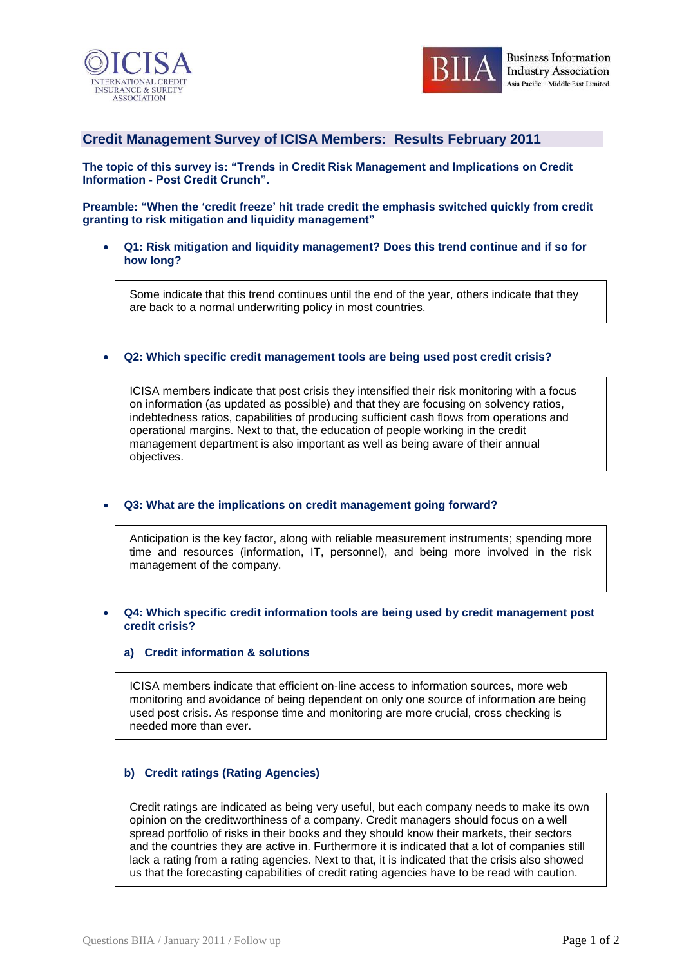



# **Credit Management Survey of ICISA Members: Results February 2011**

**The topic of this survey is: "Trends in Credit Risk Management and Implications on Credit Information - Post Credit Crunch".**

**Preamble: "When the "credit freeze" hit trade credit the emphasis switched quickly from credit granting to risk mitigation and liquidity management"**

 **Q1: Risk mitigation and liquidity management? Does this trend continue and if so for how long?**

Some indicate that this trend continues until the end of the year, others indicate that they are back to a normal underwriting policy in most countries.

## **Q2: Which specific credit management tools are being used post credit crisis?**

ICISA members indicate that post crisis they intensified their risk monitoring with a focus on information (as updated as possible) and that they are focusing on solvency ratios, indebtedness ratios, capabilities of producing sufficient cash flows from operations and operational margins. Next to that, the education of people working in the credit management department is also important as well as being aware of their annual objectives.

### **Q3: What are the implications on credit management going forward?**

Anticipation is the key factor, along with reliable measurement instruments; spending more time and resources (information, IT, personnel), and being more involved in the risk management of the company.

## **Q4: Which specific credit information tools are being used by credit management post credit crisis?**

### **a) Credit information & solutions**

ICISA members indicate that efficient on-line access to information sources, more web monitoring and avoidance of being dependent on only one source of information are being used post crisis. As response time and monitoring are more crucial, cross checking is needed more than ever.

# **b) Credit ratings (Rating Agencies)**

Credit ratings are indicated as being very useful, but each company needs to make its own opinion on the creditworthiness of a company. Credit managers should focus on a well spread portfolio of risks in their books and they should know their markets, their sectors and the countries they are active in. Furthermore it is indicated that a lot of companies still lack a rating from a rating agencies. Next to that, it is indicated that the crisis also showed us that the forecasting capabilities of credit rating agencies have to be read with caution.